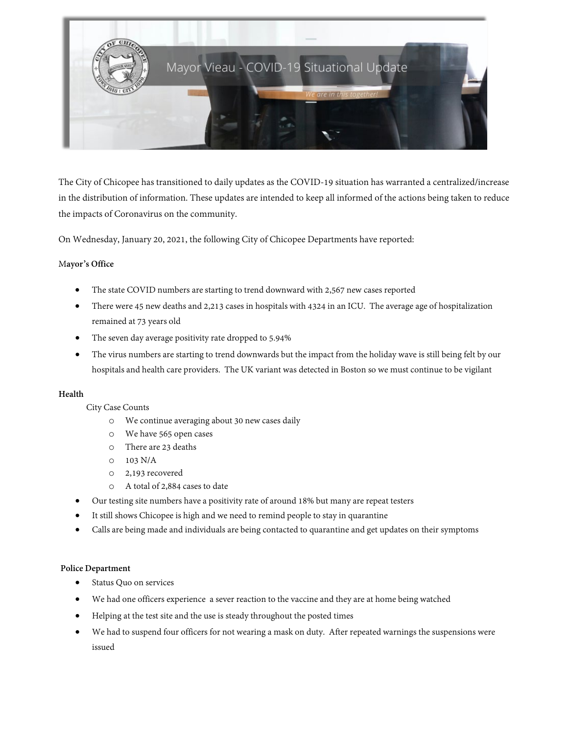

The City of Chicopee has transitioned to daily updates as the COVID-19 situation has warranted a centralized/increase in the distribution of information. These updates are intended to keep all informed of the actions being taken to reduce the impacts of Coronavirus on the community.

On Wednesday, January 20, 2021, the following City of Chicopee Departments have reported:

## M**ayor's Office**

- The state COVID numbers are starting to trend downward with 2,567 new cases reported
- There were 45 new deaths and 2,213 cases in hospitals with 4324 in an ICU. The average age of hospitalization remained at 73 years old
- The seven day average positivity rate dropped to 5.94%
- The virus numbers are starting to trend downwards but the impact from the holiday wave is still being felt by our hospitals and health care providers. The UK variant was detected in Boston so we must continue to be vigilant

## **Health**

# City Case Counts

- o We continue averaging about 30 new cases daily
- o We have 565 open cases
- o There are 23 deaths
- o 103 N/A
- o 2,193 recovered
- o A total of 2,884 cases to date
- Our testing site numbers have a positivity rate of around 18% but many are repeat testers
- It still shows Chicopee is high and we need to remind people to stay in quarantine
- Calls are being made and individuals are being contacted to quarantine and get updates on their symptoms

## **Police Department**

- Status Quo on services
- We had one officers experience a sever reaction to the vaccine and they are at home being watched
- Helping at the test site and the use is steady throughout the posted times
- We had to suspend four officers for not wearing a mask on duty. After repeated warnings the suspensions were issued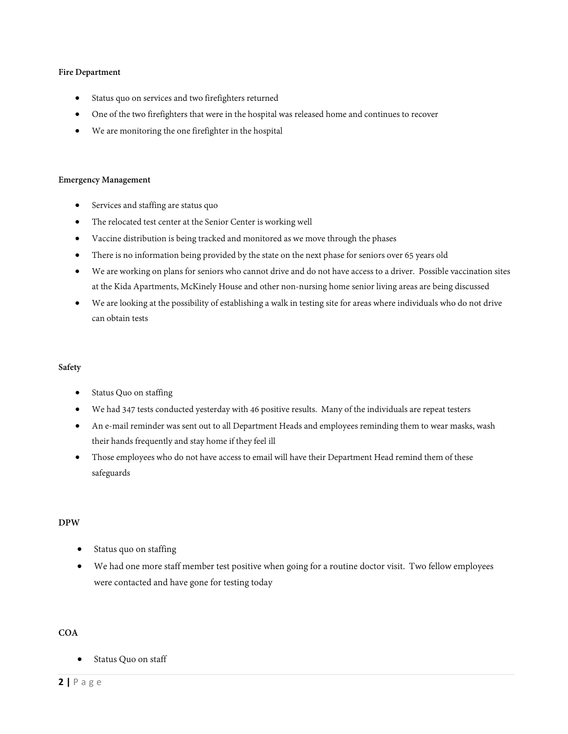## **Fire Department**

- Status quo on services and two firefighters returned
- One of the two firefighters that were in the hospital was released home and continues to recover
- We are monitoring the one firefighter in the hospital

#### **Emergency Management**

- Services and staffing are status quo
- The relocated test center at the Senior Center is working well
- Vaccine distribution is being tracked and monitored as we move through the phases
- There is no information being provided by the state on the next phase for seniors over 65 years old
- We are working on plans for seniors who cannot drive and do not have access to a driver. Possible vaccination sites at the Kida Apartments, McKinely House and other non-nursing home senior living areas are being discussed
- We are looking at the possibility of establishing a walk in testing site for areas where individuals who do not drive can obtain tests

#### **Safety**

- Status Quo on staffing
- We had 347 tests conducted yesterday with 46 positive results. Many of the individuals are repeat testers
- An e-mail reminder was sent out to all Department Heads and employees reminding them to wear masks, wash their hands frequently and stay home if they feel ill
- Those employees who do not have access to email will have their Department Head remind them of these safeguards

# **DPW**

- Status quo on staffing
- We had one more staff member test positive when going for a routine doctor visit. Two fellow employees were contacted and have gone for testing today

# **COA**

Status Quo on staff